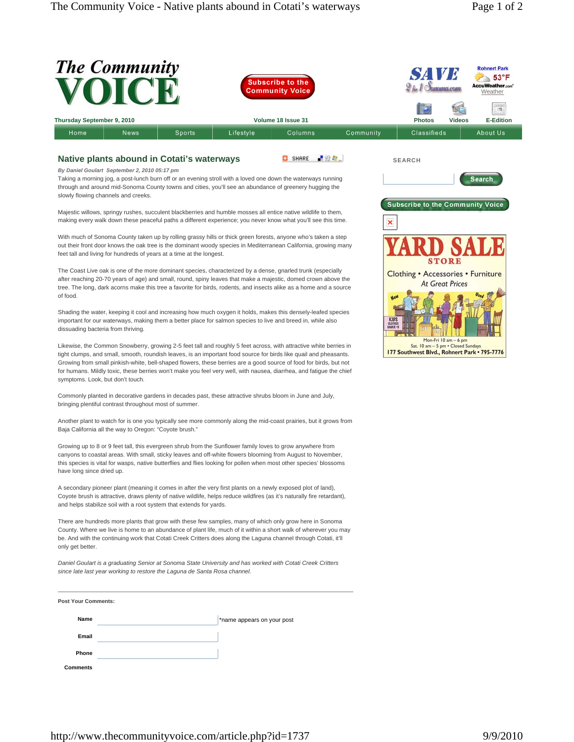